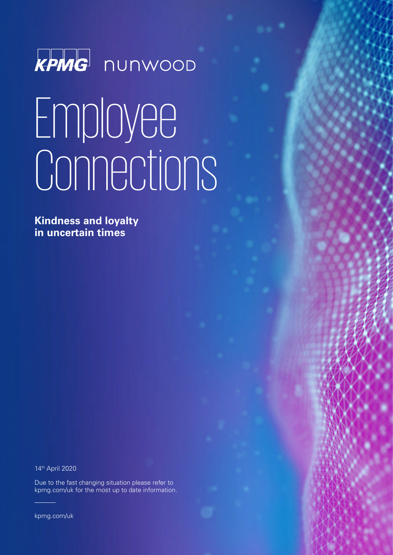

# Employee Connections

**Kindness and loyalty in uncertain times**

14th April 2020

Due to the fast changing situation please refer to kpmg.com/uk for the most up to date information.

kpmg.com/uk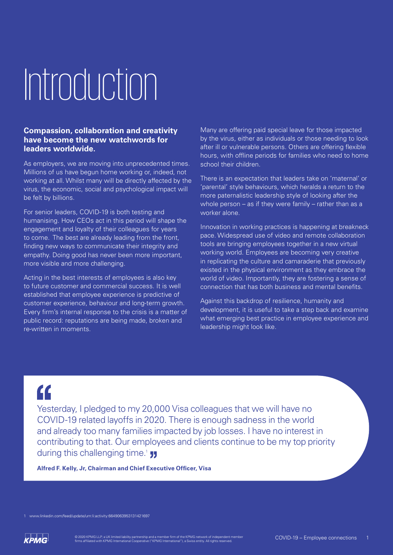## Introduction

### **Compassion, collaboration and creativity have become the new watchwords for leaders worldwide.**

As employers, we are moving into unprecedented times. Millions of us have begun home working or, indeed, not working at all. Whilst many will be directly affected by the virus, the economic, social and psychological impact will be felt by billions.

For senior leaders, COVID-19 is both testing and humanising. How CEOs act in this period will shape the engagement and loyalty of their colleagues for years to come. The best are already leading from the front, finding new ways to communicate their integrity and empathy. Doing good has never been more important, more visible and more challenging.

Acting in the best interests of employees is also key to future customer and commercial success. It is well established that employee experience is predictive of customer experience, behaviour and long-term growth. Every firm's internal response to the crisis is a matter of public record: reputations are being made, broken and re-written in moments.

Many are offering paid special leave for those impacted by the virus, either as individuals or those needing to look after ill or vulnerable persons. Others are offering flexible hours, with offline periods for families who need to home school their children.

There is an expectation that leaders take on 'maternal' or 'parental' style behaviours, which heralds a return to the more paternalistic leadership style of looking after the whole person – as if they were family – rather than as a worker alone.

Innovation in working practices is happening at breakneck pace. Widespread use of video and remote collaboration tools are bringing employees together in a new virtual working world. Employees are becoming very creative in replicating the culture and camaraderie that previously existed in the physical environment as they embrace the world of video. Importantly, they are fostering a sense of connection that has both business and mental benefits.

Against this backdrop of resilience, humanity and development, it is useful to take a step back and examine what emerging best practice in employee experience and leadership might look like.

### $\overline{\mathbf{G}}$

Yesterday, I pledged to my 20,000 Visa colleagues that we will have no COVID-19 related layoffs in 2020. There is enough sadness in the world and already too many families impacted by job losses. I have no interest in contributing to that. Our employees and clients continue to be my top priority during this challenging time.<sup>1</sup>

**Alfred F. Kelly, Jr, Chairman and Chief Executive Officer, Visa** 

1 www.linkedin.com/feed/update/urn:li:activity:6649063953131421697

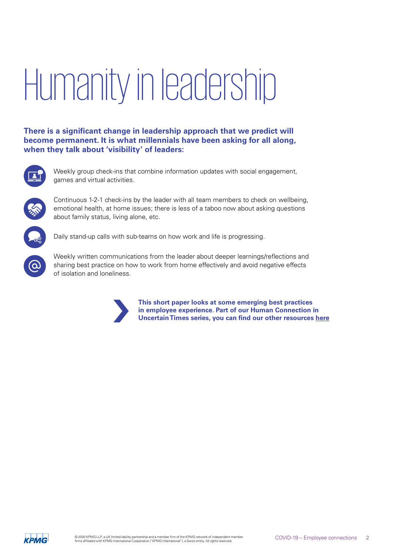## Humanity in leadership

**There is a significant change in leadership approach that we predict will become permanent. It is what millennials have been asking for all along, when they talk about 'visibility' of leaders:**



Weekly group check-ins that combine information updates with social engagement, games and virtual activities.



Continuous 1-2-1 check-ins by the leader with all team members to check on wellbeing, emotional health, at home issues; there is less of a taboo now about asking questions about family status, living alone, etc.



Daily stand-up calls with sub-teams on how work and life is progressing.



Weekly written communications from the leader about deeper learnings/reflections and sharing best practice on how to work from home effectively and avoid negative effects of isolation and loneliness.



**This short paper looks at some emerging best practices in employee experience. Part of our Human Connection in Uncertain Times series, you can find our other resources [here](https://home.kpmg/uk/en/home/insights/2020/03/human-connection-in-uncertain-times.html)**

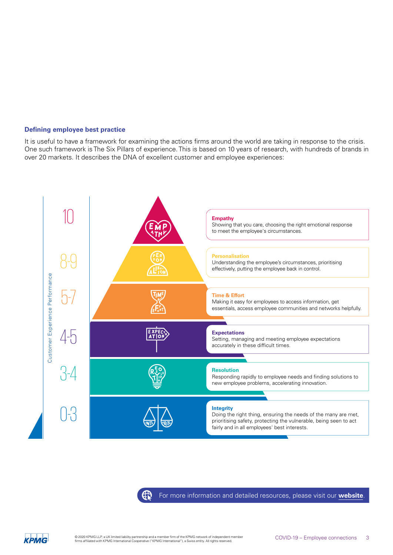### **Defining employee best practice**

It is useful to have a framework for examining the actions firms around the world are taking in response to the crisis. One such framework is The Six Pillars of experience. This is based on 10 years of research, with hundreds of brands in over 20 markets. It describes the DNA of excellent customer and employee experiences:





[For more information and detailed resources, please visit our](https://home.kpmg/xx/en/home/insights/2020/01/six-pillars.html) **website**.

**KPMG** 

43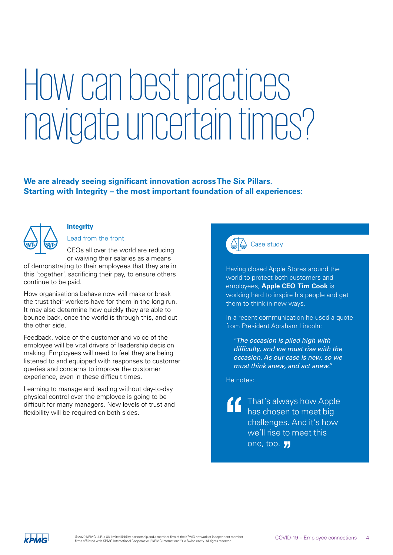### How can best practices navigate uncertain times?

### **We are already seeing significant innovation across The Six Pillars. Starting with Integrity – the most important foundation of all experiences:**



### **Integrity**

Lead from the front

CEOs all over the world are reducing or waiving their salaries as a means of demonstrating to their employees that they are in

this 'together', sacrificing their pay, to ensure others continue to be paid.

How organisations behave now will make or break the trust their workers have for them in the long run. It may also determine how quickly they are able to bounce back, once the world is through this, and out the other side.

Feedback, voice of the customer and voice of the employee will be vital drivers of leadership decision making. Employees will need to feel they are being listened to and equipped with responses to customer queries and concerns to improve the customer experience, even in these difficult times.

Learning to manage and leading without day-to-day physical control over the employee is going to be difficult for many managers. New levels of trust and flexibility will be required on both sides.



### Case study

Having closed Apple Stores around the world to protect both customers and employees, **Apple CEO Tim Cook** is working hard to inspire his people and get them to think in new ways.

In a recent communication he used a quote from President Abraham Lincoln:

*"The occasion is piled high with difficulty, and we must rise with the occasion. As our case is new, so we must think anew, and act anew."* 

He notes:

That's always how Apple has chosen to meet big challenges. And it's how we'll rise to meet this one, too. **11** 

**KPMG**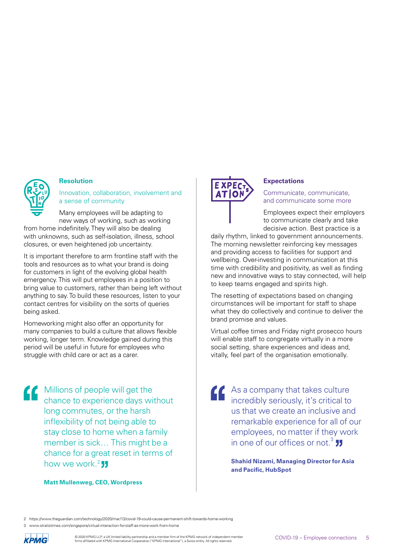

### **Resolution**

Innovation, collaboration, involvement and a sense of community

Many employees will be adapting to new ways of working, such as working from home indefinitely. They will also be dealing with unknowns, such as self-isolation, illness, school closures, or even heightened job uncertainty.

It is important therefore to arm frontline staff with the tools and resources as to what your brand is doing for customers in light of the evolving global health emergency. This will put employees in a position to bring value to customers, rather than being left without anything to say. To build these resources, listen to your contact centres for visibility on the sorts of queries being asked.

Homeworking might also offer an opportunity for many companies to build a culture that allows flexible working, longer term. Knowledge gained during this period will be useful in future for employees who struggle with child care or act as a carer.

**COMILLIONS** Of people will get the chance to experience days without long commutes, or the harsh inflexibility of not being able to stay close to home when a family member is sick… This might be a chance for a great reset in terms of how we work. $2$  JJ

**Matt Mullenweg, CEO, Wordpress**

### **Expectations**

Communicate, communicate, and communicate some more

Employees expect their employers to communicate clearly and take decisive action. Best practice is a

daily rhythm, linked to government announcements. The morning newsletter reinforcing key messages and providing access to facilities for support and wellbeing. Over-investing in communication at this time with credibility and positivity, as well as finding new and innovative ways to stay connected, will help to keep teams engaged and spirits high.

The resetting of expectations based on changing circumstances will be important for staff to shape what they do collectively and continue to deliver the brand promise and values.

Virtual coffee times and Friday night prosecco hours will enable staff to congregate virtually in a more social setting, share experiences and ideas and, vitally, feel part of the organisation emotionally.

As a company that takes culture incredibly seriously, it's critical to us that we create an inclusive and remarkable experience for all of our employees, no matter if they work in one of our offices or not.<sup>3</sup>  $\overline{\phantom{a}}$ 

> **Shahid Nizami, Managing Director for Asia and Pacific, HubSpot**

2 https://www.theguardian.com/technology/2020/mar/13/covid-19-could-cause-permanent-shift-towards-home-working

срма

<sup>3</sup> www.straitstimes.com/singapore/virtual-interaction-for-staff-as-more-work-from-home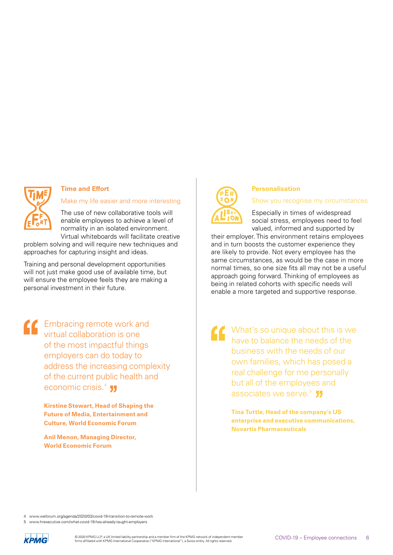

### **Time and Effort**

Make my life easier and more interesting

The use of new collaborative tools will enable employees to achieve a level of normality in an isolated environment. Virtual whiteboards will facilitate creative

problem solving and will require new techniques and approaches for capturing insight and ideas.

Training and personal development opportunities will not just make good use of available time, but will ensure the employee feels they are making a personal investment in their future.

Embracing remote work and virtual collaboration is one of the most impactful things employers can do today to address the increasing complexity of the current public health and economic crisis.<sup>4</sup> **JJ** 

> **Kirstine Stewart, Head of Shaping the Future of Media, Entertainment and Culture, World Economic Forum**

**Anil Menon, Managing Director, World Economic Forum**



### **Personalisation**

Show you recognise my circumstances

Especially in times of widespread social stress, employees need to feel valued, informed and supported by

their employer. This environment retains employees and in turn boosts the customer experience they are likely to provide. Not every employee has the same circumstances, as would be the case in more normal times, so one size fits all may not be a useful approach going forward. Thinking of employees as being in related cohorts with specific needs will enable a more targeted and supportive response.

What's so unique about this is we have to balance the needs of the business with the needs of our own families, which has posed a real challenge for me personally but all of the employees and associates we serve.<sup>5</sup> JJ

**Tina Tuttle, Head of the company's US enterprise and executive communications, Novartis Pharmaceuticals** 

4 www.weforum.org/agenda/2020/03/covid-19-transition-to-remote-work

www.hrexecutive.com/what-covid-19-has-already-taught-employers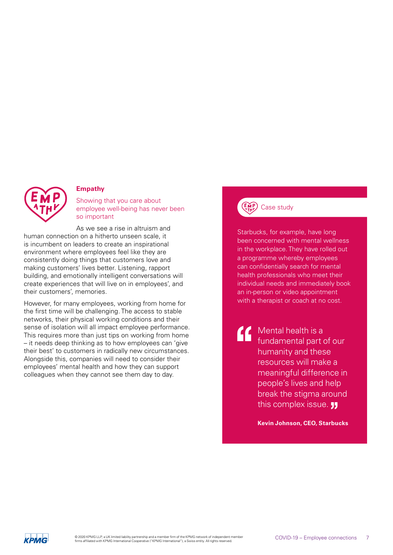

### **Empathy**

Showing that you care about employee well-being has never been so important

As we see a rise in altruism and human connection on a hitherto unseen scale, it is incumbent on leaders to create an inspirational environment where employees feel like they are consistently doing things that customers love and making customers' lives better. Listening, rapport building, and emotionally intelligent conversations will create experiences that will live on in employees', and their customers', memories.

However, for many employees, working from home for the first time will be challenging. The access to stable networks, their physical working conditions and their sense of isolation will all impact employee performance. This requires more than just tips on working from home – it needs deep thinking as to how employees can 'give their best' to customers in radically new circumstances. Alongside this, companies will need to consider their employees' mental health and how they can support colleagues when they cannot see them day to day.

### Case study

Starbucks, for example, have long been concerned with mental wellness in the workplace. They have rolled out a programme whereby employees can confidentially search for mental health professionals who meet their individual needs and immediately book an in-person or video appointment with a therapist or coach at no cost.

**Mental health is a** fundamental part of our humanity and these resources will make a meaningful difference in people's lives and help break the stigma around this complex issue. **JJ** 

**Kevin Johnson, CEO, Starbucks**